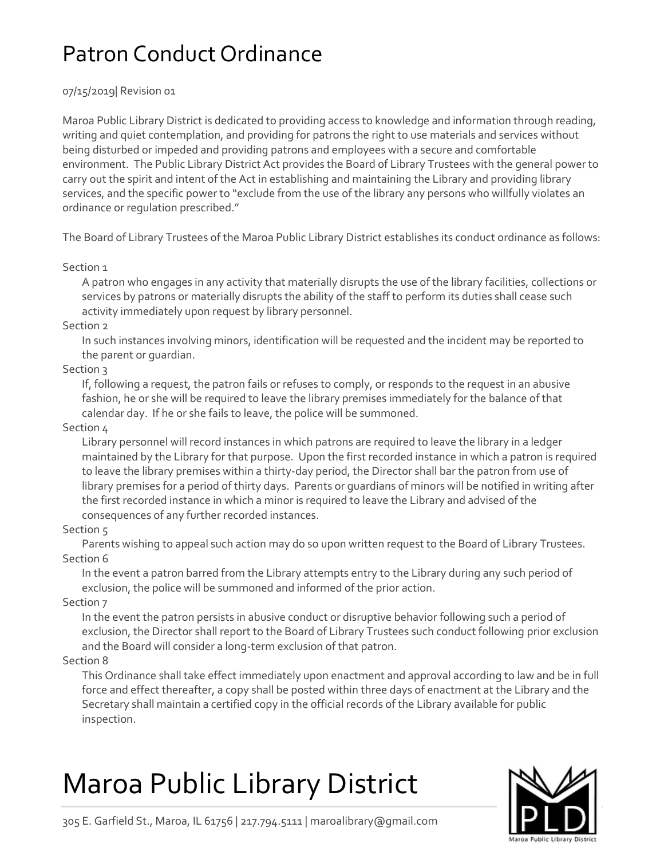## Patron Conduct Ordinance

#### 07/15/2019| Revision 01

Maroa Public Library District is dedicated to providing access to knowledge and information through reading, writing and quiet contemplation, and providing for patrons the right to use materials and services without being disturbed or impeded and providing patrons and employees with a secure and comfortable environment. The Public Library District Act provides the Board of Library Trustees with the general power to carry out the spirit and intent of the Act in establishing and maintaining the Library and providing library services, and the specific power to "exclude from the use of the library any persons who willfully violates an ordinance or regulation prescribed."

The Board of Library Trustees of the Maroa Public Library District establishes its conduct ordinance as follows:

#### Section 1

A patron who engages in any activity that materially disrupts the use of the library facilities, collections or services by patrons or materially disrupts the ability of the staff to perform its duties shall cease such activity immediately upon request by library personnel.

#### Section 2

In such instances involving minors, identification will be requested and the incident may be reported to the parent or guardian.

### Section 3

If, following a request, the patron fails or refuses to comply, or responds to the request in an abusive fashion, he or she will be required to leave the library premises immediately for the balance of that calendar day. If he or she fails to leave, the police will be summoned.

#### Section 4

Library personnel will record instances in which patrons are required to leave the library in a ledger maintained by the Library for that purpose. Upon the first recorded instance in which a patron is required to leave the library premises within a thirty-day period, the Director shall bar the patron from use of library premises for a period of thirty days. Parents or guardians of minors will be notified in writing after the first recorded instance in which a minor is required to leave the Library and advised of the consequences of any further recorded instances.

#### Section 5

Parents wishing to appeal such action may do so upon written request to the Board of Library Trustees. Section 6

In the event a patron barred from the Library attempts entry to the Library during any such period of exclusion, the police will be summoned and informed of the prior action.

Section 7

In the event the patron persists in abusive conduct or disruptive behavior following such a period of exclusion, the Director shall report to the Board of Library Trustees such conduct following prior exclusion and the Board will consider a long-term exclusion of that patron.

#### Section 8

This Ordinance shall take effect immediately upon enactment and approval according to law and be in full force and effect thereafter, a copy shall be posted within three days of enactment at the Library and the Secretary shall maintain a certified copy in the official records of the Library available for public inspection.

# Maroa Public Library District